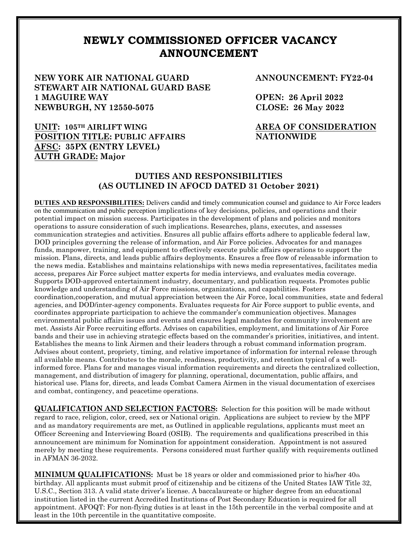## **NEWLY COMMISSIONED OFFICER VACANCY ANNOUNCEMENT**

**NEW YORK AIR NATIONAL GUARD STEWART AIR NATIONAL GUARD BASE 1 MAGUIRE WAY NEWBURGH, NY 12550-5075** 

**POSITION TITLE: PUBLIC AFFAIRS**

**UNIT: 105TH AIRLIFT WING**

**AFSC: 35PX (ENTRY LEVEL)** 

**ANNOUNCEMENT: FY22-04**

**OPEN: 26 April 2022 CLOSE: 26 May 2022**

## **AREA OF CONSIDERATION NATIONWIDE**

## **AUTH GRADE: Major DUTIES AND RESPONSIBILITIES**

**(AS OUTLINED IN AFOCD DATED 31 October 2021)**

**DUTIES AND RESPONSIBILITIES:** Delivers candid and timely communication counsel and guidance to Air Force leaders on the communication and public perception implications of key decisions, policies, and operations and their potential impact on mission success. Participates in the development of plans and policies and monitors operations to assure consideration of such implications. Researches, plans, executes, and assesses communication strategies and activities. Ensures all public affairs efforts adhere to applicable federal law, DOD principles governing the release of information, and Air Force policies. Advocates for and manages funds, manpower, training, and equipment to effectively execute public affairs operations to support the mission. Plans, directs, and leads public affairs deployments. Ensures a free flow of releasable information to the news media. Establishes and maintains relationships with news media representatives, facilitates media access, prepares Air Force subject matter experts for media interviews, and evaluates media coverage. Supports DOD-approved entertainment industry, documentary, and publication requests. Promotes public knowledge and understanding of Air Force missions, organizations, and capabilities. Fosters coordination,cooperation, and mutual appreciation between the Air Force, local communities, state and federal agencies, and DOD/inter-agency components. Evaluates requests for Air Force support to public events, and coordinates appropriate participation to achieve the commander's communication objectives. Manages environmental public affairs issues and events and ensures legal mandates for community involvement are met. Assists Air Force recruiting efforts. Advises on capabilities, employment, and limitations of Air Force bands and their use in achieving strategic effects based on the commander's priorities, initiatives, and intent. Establishes the means to link Airmen and their leaders through a robust command information program. Advises about content, propriety, timing, and relative importance of information for internal release through all available means. Contributes to the morale, readiness, productivity, and retention typical of a wellinformed force. Plans for and manages visual information requirements and directs the centralized collection, management, and distribution of imagery for planning, operational, documentation, public affairs, and historical use. Plans for, directs, and leads Combat Camera Airmen in the visual documentation of exercises and combat, contingency, and peacetime operations.

**QUALIFICATION AND SELECTION FACTORS:** Selection for this position will be made without regard to race, religion, color, creed, sex or National origin. Applications are subject to review by the MPF and as mandatory requirements are met, as Outlined in applicable regulations, applicants must meet an Officer Screening and Interviewing Board (OSIB). The requirements and qualifications prescribed in this announcement are minimum for Nomination for appointment consideration. Appointment is not assured merely by meeting these requirements. Persons considered must further qualify with requirements outlined in AFMAN 36-2032.

**MINIMUM QUALIFICATIONS:** Must be 18 years or older and commissioned prior to his/her 40th birthday. All applicants must submit proof of citizenship and be citizens of the United States IAW Title 32, U.S.C., Section 313. A valid state driver's license. A baccalaureate or higher degree from an educational institution listed in the current Accredited Institutions of Post Secondary Education is required for all appointment. AFOQT: For non-flying duties is at least in the 15th percentile in the verbal composite and at least in the 10th percentile in the quantitative composite.